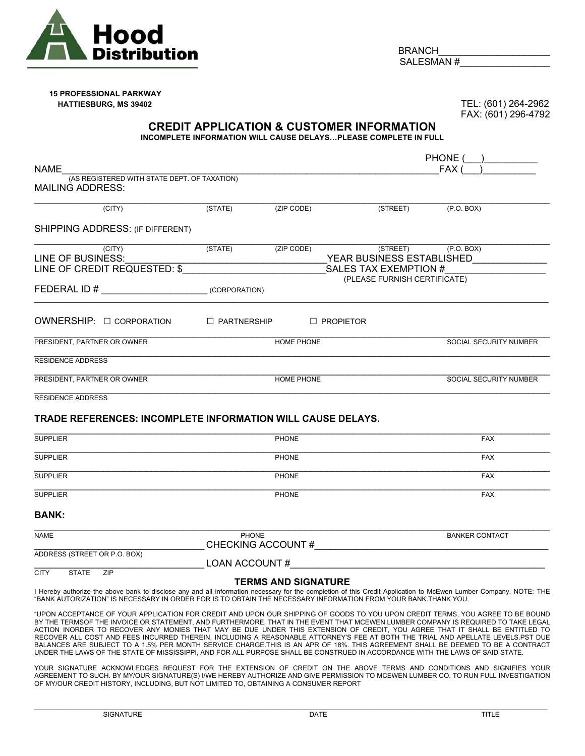

BRANCH SALESMAN #

## **15 PROFESSIONAL PARKWAY HATTIESBURG, MS 39402** TEL: (601) 264-2962

FAX: (601) 296-4792

## **CREDIT APPLICATION & CUSTOMER INFORMATION**

**INCOMPLETE INFORMATION WILL CAUSE DELAYS…PLEASE COMPLETE IN FULL** 

|                                                                         |                                                 |                            |                       |                              | PHONE (                                             |
|-------------------------------------------------------------------------|-------------------------------------------------|----------------------------|-----------------------|------------------------------|-----------------------------------------------------|
| <b>NAME</b>                                                             |                                                 |                            |                       |                              | FAX (                                               |
| (AS REGISTERED WITH STATE DEPT. OF TAXATION)<br><b>MAILING ADDRESS:</b> |                                                 |                            |                       |                              |                                                     |
| (CITY)                                                                  | (STATE)                                         | $ZIP$ CODE)                |                       | (STREET)                     | (P.O. BOX)                                          |
| SHIPPING ADDRESS: (IF DIFFERENT)                                        |                                                 |                            |                       |                              |                                                     |
| (CITY)<br>LINE OF BUSINESS:                                             | (STATE)                                         | (ZIP CODE)                 |                       |                              | $(STREF)$ $(P.O. BOX)$<br>YEAR BUSINESS ESTABLISHED |
| LINE OF CREDIT REQUESTED: \$                                            |                                                 |                            | SALES TAX EXEMPTION # |                              |                                                     |
|                                                                         | the contract of the contract of the contract of |                            |                       | (PLEASE FURNISH CERTIFICATE) |                                                     |
|                                                                         |                                                 |                            |                       |                              |                                                     |
| OWNERSHIP: □ CORPORATION □ PARTNERSHIP                                  |                                                 |                            | $\Box$ PROPIETOR      |                              |                                                     |
| PRESIDENT, PARTNER OR OWNER                                             |                                                 | HOME PHONE                 |                       |                              | SOCIAL SECURITY NUMBER                              |
| <b>RESIDENCE ADDRESS</b>                                                |                                                 |                            |                       |                              |                                                     |
| PRESIDENT, PARTNER OR OWNER                                             |                                                 | <b>HOME PHONE</b>          |                       |                              | <b>SOCIAL SECURITY NUMBER</b>                       |
| <b>RESIDENCE ADDRESS</b>                                                |                                                 |                            |                       |                              |                                                     |
| TRADE REFERENCES: INCOMPLETE INFORMATION WILL CAUSE DELAYS.             |                                                 |                            |                       |                              |                                                     |
| <b>SUPPLIER</b>                                                         |                                                 | <b>PHONE</b>               |                       |                              | <b>FAX</b>                                          |
| <b>SUPPLIER</b>                                                         | <b>PHONE</b>                                    |                            |                       |                              | <b>FAX</b>                                          |
| <b>SUPPLIER</b>                                                         | <b>PHONE</b>                                    |                            |                       |                              | <b>FAX</b>                                          |
| <b>SUPPLIER</b>                                                         |                                                 | <b>PHONE</b>               |                       |                              | <b>FAX</b>                                          |
| <b>BANK:</b>                                                            |                                                 |                            |                       |                              |                                                     |
| <b>NAME</b>                                                             | <b>PHONE</b><br>CHECKING ACCOUNT #              |                            |                       |                              | <b>BANKER CONTACT</b>                               |
| ADDRESS (STREET OR P.O. BOX)                                            | LOAN ACCOUNT #                                  |                            |                       |                              |                                                     |
| <b>CITY</b><br>STATE ZIP                                                |                                                 |                            |                       |                              |                                                     |
|                                                                         |                                                 | <b>TERMS AND SIGNATURE</b> |                       |                              |                                                     |

I Hereby authorize the above bank to disclose any and all information necessary for the completion of this Credit Application to McEwen Lumber Company. NOTE: THE "BANK AUTORIZATION" IS NECESSARY IN ORDER FOR IS TO OBTAIN THE NECESSARY INFORMATION FROM YOUR BANK.THANK YOU.

"UPON ACCEPTANCE OF YOUR APPLICATION FOR CREDIT AND UPON OUR SHIPPING OF GOODS TO YOU UPON CREDIT TERMS, YOU AGREE TO BE BOUND BY THE TERMSOF THE INVOICE OR STATEMENT, AND FURTHERMORE, THAT IN THE EVENT THAT MCEWEN LUMBER COMPANY IS REQUIRED TO TAKE LEGAL ACTION INORDER TO RECOVER ANY MONIES THAT MAY BE DUE UNDER THIS EXTENSION OF CREDIT, YOU AGREE THAT IT SHALL BE ENTITLED TO RECOVER ALL COST AND FEES INCURRED THEREIN, INCLUDING A REASONABLE ATTORNEY'S FEE AT BOTH THE TRIAL AND APELLATE LEVELS.PST DUE BALANCES ARE SUBJECT TO A 1.5% PER MONTH SERVICE CHARGE.THIS IS AN APR OF 18%. THIS AGREEMENT SHALL BE DEEMED TO BE A CONTRACT UNDER THE LAWS OF THE STATE OF MISSISSIPPI, AND FOR ALL PURPOSE SHALL BE CONSTRUED IN ACCORDANCE WITH THE LAWS OF SAID STATE.

YOUR SIGNATURE ACKNOWLEDGES REQUEST FOR THE EXTENSION OF CREDIT ON THE ABOVE TERMS AND CONDITIONS AND SIGNIFIES YOUR AGREEMENT TO SUCH. BY MY/OUR SIGNATURE(S) I/WE HEREBY AUTHORIZE AND GIVE PERMISSION TO MCEWEN LUMBER CO. TO RUN FULL INVESTIGATION OF MY/OUR CREDIT HISTORY, INCLUDING, BUT NOT LIMITED TO, OBTAINING A CONSUMER REPORT